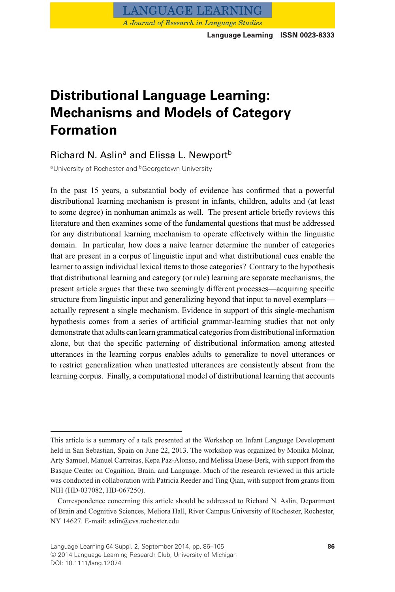# **Distributional Language Learning: Mechanisms and Models of Category Formation**

# Richard N. Aslin<sup>a</sup> and Elissa L. Newport<sup>b</sup>

<sup>a</sup>University of Rochester and <sup>b</sup>Georgetown University

In the past 15 years, a substantial body of evidence has confirmed that a powerful distributional learning mechanism is present in infants, children, adults and (at least to some degree) in nonhuman animals as well. The present article briefly reviews this literature and then examines some of the fundamental questions that must be addressed for any distributional learning mechanism to operate effectively within the linguistic domain. In particular, how does a naive learner determine the number of categories that are present in a corpus of linguistic input and what distributional cues enable the learner to assign individual lexical items to those categories? Contrary to the hypothesis that distributional learning and category (or rule) learning are separate mechanisms, the present article argues that these two seemingly different processes—acquiring specific structure from linguistic input and generalizing beyond that input to novel exemplars actually represent a single mechanism. Evidence in support of this single-mechanism hypothesis comes from a series of artificial grammar-learning studies that not only demonstrate that adults can learn grammatical categories from distributional information alone, but that the specific patterning of distributional information among attested utterances in the learning corpus enables adults to generalize to novel utterances or to restrict generalization when unattested utterances are consistently absent from the learning corpus. Finally, a computational model of distributional learning that accounts

This article is a summary of a talk presented at the Workshop on Infant Language Development held in San Sebastian, Spain on June 22, 2013. The workshop was organized by Monika Molnar, Arty Samuel, Manuel Carreiras, Kepa Paz-Alonso, and Melissa Baese-Berk, with support from the Basque Center on Cognition, Brain, and Language. Much of the research reviewed in this article was conducted in collaboration with Patricia Reeder and Ting Qian, with support from grants from NIH (HD-037082, HD-067250).

Correspondence concerning this article should be addressed to Richard N. Aslin, Department of Brain and Cognitive Sciences, Meliora Hall, River Campus University of Rochester, Rochester, NY 14627. E-mail: aslin@cvs.rochester.edu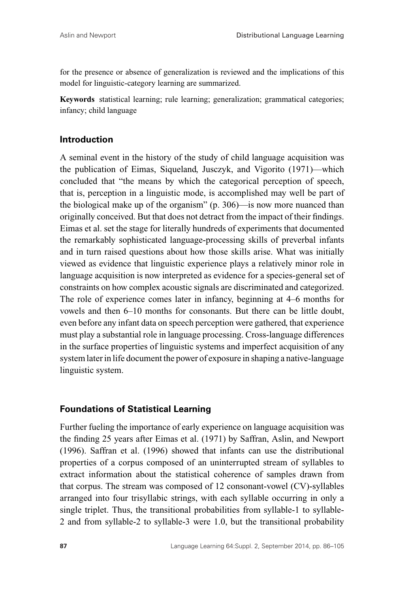for the presence or absence of generalization is reviewed and the implications of this model for linguistic-category learning are summarized.

**Keywords** statistical learning; rule learning; generalization; grammatical categories; infancy; child language

## **Introduction**

A seminal event in the history of the study of child language acquisition was the publication of Eimas, Siqueland, Jusczyk, and Vigorito (1971)—which concluded that "the means by which the categorical perception of speech, that is, perception in a linguistic mode, is accomplished may well be part of the biological make up of the organism" (p. 306)—is now more nuanced than originally conceived. But that does not detract from the impact of their findings. Eimas et al. set the stage for literally hundreds of experiments that documented the remarkably sophisticated language-processing skills of preverbal infants and in turn raised questions about how those skills arise. What was initially viewed as evidence that linguistic experience plays a relatively minor role in language acquisition is now interpreted as evidence for a species-general set of constraints on how complex acoustic signals are discriminated and categorized. The role of experience comes later in infancy, beginning at 4–6 months for vowels and then 6–10 months for consonants. But there can be little doubt, even before any infant data on speech perception were gathered, that experience must play a substantial role in language processing. Cross-language differences in the surface properties of linguistic systems and imperfect acquisition of any system later in life document the power of exposure in shaping a native-language linguistic system.

# **Foundations of Statistical Learning**

Further fueling the importance of early experience on language acquisition was the finding 25 years after Eimas et al. (1971) by Saffran, Aslin, and Newport (1996). Saffran et al. (1996) showed that infants can use the distributional properties of a corpus composed of an uninterrupted stream of syllables to extract information about the statistical coherence of samples drawn from that corpus. The stream was composed of 12 consonant-vowel (CV)-syllables arranged into four trisyllabic strings, with each syllable occurring in only a single triplet. Thus, the transitional probabilities from syllable-1 to syllable-2 and from syllable-2 to syllable-3 were 1.0, but the transitional probability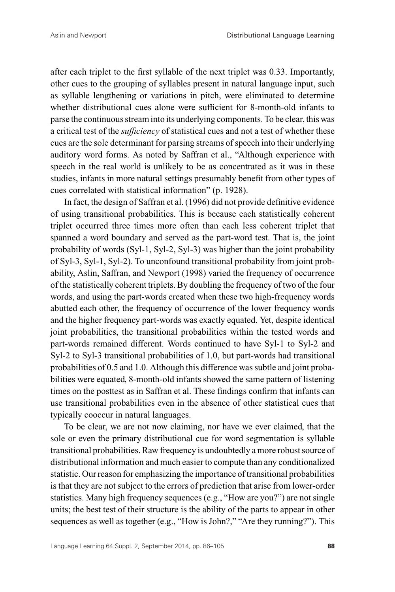after each triplet to the first syllable of the next triplet was 0.33. Importantly, other cues to the grouping of syllables present in natural language input, such as syllable lengthening or variations in pitch, were eliminated to determine whether distributional cues alone were sufficient for 8-month-old infants to parse the continuous stream into its underlying components. To be clear, this was a critical test of the *sufficiency* of statistical cues and not a test of whether these cues are the sole determinant for parsing streams of speech into their underlying auditory word forms. As noted by Saffran et al., "Although experience with speech in the real world is unlikely to be as concentrated as it was in these studies, infants in more natural settings presumably benefit from other types of cues correlated with statistical information" (p. 1928).

In fact, the design of Saffran et al. (1996) did not provide definitive evidence of using transitional probabilities. This is because each statistically coherent triplet occurred three times more often than each less coherent triplet that spanned a word boundary and served as the part-word test. That is, the joint probability of words (Syl-1, Syl-2, Syl-3) was higher than the joint probability of Syl-3, Syl-1, Syl-2). To unconfound transitional probability from joint probability, Aslin, Saffran, and Newport (1998) varied the frequency of occurrence of the statistically coherent triplets. By doubling the frequency of two of the four words, and using the part-words created when these two high-frequency words abutted each other, the frequency of occurrence of the lower frequency words and the higher frequency part-words was exactly equated. Yet, despite identical joint probabilities, the transitional probabilities within the tested words and part-words remained different. Words continued to have Syl-1 to Syl-2 and Syl-2 to Syl-3 transitional probabilities of 1.0, but part-words had transitional probabilities of 0.5 and 1.0. Although this difference was subtle and joint probabilities were equated, 8-month-old infants showed the same pattern of listening times on the posttest as in Saffran et al. These findings confirm that infants can use transitional probabilities even in the absence of other statistical cues that typically cooccur in natural languages.

To be clear, we are not now claiming, nor have we ever claimed, that the sole or even the primary distributional cue for word segmentation is syllable transitional probabilities. Raw frequency is undoubtedly a more robust source of distributional information and much easier to compute than any conditionalized statistic. Our reason for emphasizing the importance of transitional probabilities is that they are not subject to the errors of prediction that arise from lower-order statistics. Many high frequency sequences (e.g., "How are you?") are not single units; the best test of their structure is the ability of the parts to appear in other sequences as well as together (e.g., "How is John?," "Are they running?"). This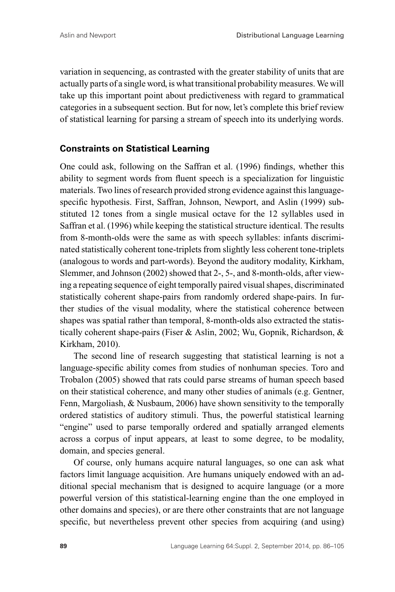variation in sequencing, as contrasted with the greater stability of units that are actually parts of a single word, is what transitional probability measures. We will take up this important point about predictiveness with regard to grammatical categories in a subsequent section. But for now, let's complete this brief review of statistical learning for parsing a stream of speech into its underlying words.

### **Constraints on Statistical Learning**

One could ask, following on the Saffran et al. (1996) findings, whether this ability to segment words from fluent speech is a specialization for linguistic materials. Two lines of research provided strong evidence against this languagespecific hypothesis. First, Saffran, Johnson, Newport, and Aslin (1999) substituted 12 tones from a single musical octave for the 12 syllables used in Saffran et al. (1996) while keeping the statistical structure identical. The results from 8-month-olds were the same as with speech syllables: infants discriminated statistically coherent tone-triplets from slightly less coherent tone-triplets (analogous to words and part-words). Beyond the auditory modality, Kirkham, Slemmer, and Johnson (2002) showed that 2-, 5-, and 8-month-olds, after viewing a repeating sequence of eight temporally paired visual shapes, discriminated statistically coherent shape-pairs from randomly ordered shape-pairs. In further studies of the visual modality, where the statistical coherence between shapes was spatial rather than temporal, 8-month-olds also extracted the statistically coherent shape-pairs (Fiser & Aslin, 2002; Wu, Gopnik, Richardson, & Kirkham, 2010).

The second line of research suggesting that statistical learning is not a language-specific ability comes from studies of nonhuman species. Toro and Trobalon (2005) showed that rats could parse streams of human speech based on their statistical coherence, and many other studies of animals (e.g. Gentner, Fenn, Margoliash, & Nusbaum, 2006) have shown sensitivity to the temporally ordered statistics of auditory stimuli. Thus, the powerful statistical learning "engine" used to parse temporally ordered and spatially arranged elements across a corpus of input appears, at least to some degree, to be modality, domain, and species general.

Of course, only humans acquire natural languages, so one can ask what factors limit language acquisition. Are humans uniquely endowed with an additional special mechanism that is designed to acquire language (or a more powerful version of this statistical-learning engine than the one employed in other domains and species), or are there other constraints that are not language specific, but nevertheless prevent other species from acquiring (and using)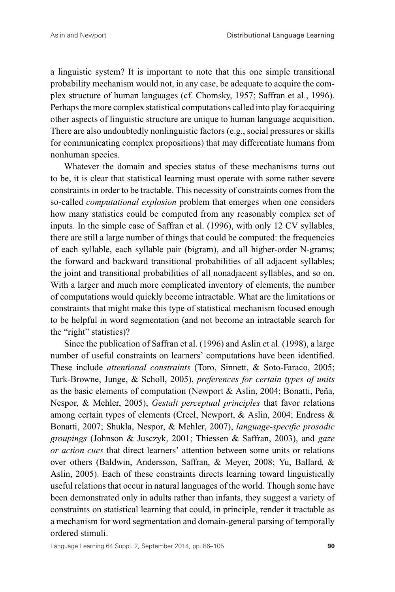a linguistic system? It is important to note that this one simple transitional probability mechanism would not, in any case, be adequate to acquire the complex structure of human languages (cf. Chomsky, 1957; Saffran et al., 1996). Perhaps the more complex statistical computations called into play for acquiring other aspects of linguistic structure are unique to human language acquisition. There are also undoubtedly nonlinguistic factors (e.g., social pressures or skills for communicating complex propositions) that may differentiate humans from nonhuman species.

Whatever the domain and species status of these mechanisms turns out to be, it is clear that statistical learning must operate with some rather severe constraints in order to be tractable. This necessity of constraints comes from the so-called *computational explosion* problem that emerges when one considers how many statistics could be computed from any reasonably complex set of inputs. In the simple case of Saffran et al. (1996), with only 12 CV syllables, there are still a large number of things that could be computed: the frequencies of each syllable, each syllable pair (bigram), and all higher-order N-grams; the forward and backward transitional probabilities of all adjacent syllables; the joint and transitional probabilities of all nonadjacent syllables, and so on. With a larger and much more complicated inventory of elements, the number of computations would quickly become intractable. What are the limitations or constraints that might make this type of statistical mechanism focused enough to be helpful in word segmentation (and not become an intractable search for the "right" statistics)?

Since the publication of Saffran et al. (1996) and Aslin et al. (1998), a large number of useful constraints on learners' computations have been identified. These include *attentional constraints* (Toro, Sinnett, & Soto-Faraco, 2005; Turk-Browne, Junge, & Scholl, 2005), *preferences for certain types of units* as the basic elements of computation (Newport & Aslin, 2004; Bonatti, Peña, Nespor, & Mehler, 2005), *Gestalt perceptual principles* that favor relations among certain types of elements (Creel, Newport, & Aslin, 2004; Endress & Bonatti, 2007; Shukla, Nespor, & Mehler, 2007), *language-specific prosodic groupings* (Johnson & Jusczyk, 2001; Thiessen & Saffran, 2003), and *gaze or action cues* that direct learners' attention between some units or relations over others (Baldwin, Andersson, Saffran, & Meyer, 2008; Yu, Ballard, & Aslin, 2005). Each of these constraints directs learning toward linguistically useful relations that occur in natural languages of the world. Though some have been demonstrated only in adults rather than infants, they suggest a variety of constraints on statistical learning that could, in principle, render it tractable as a mechanism for word segmentation and domain-general parsing of temporally ordered stimuli.

Language Learning 64:Suppl. 2, September 2014, pp. 86–105 **90**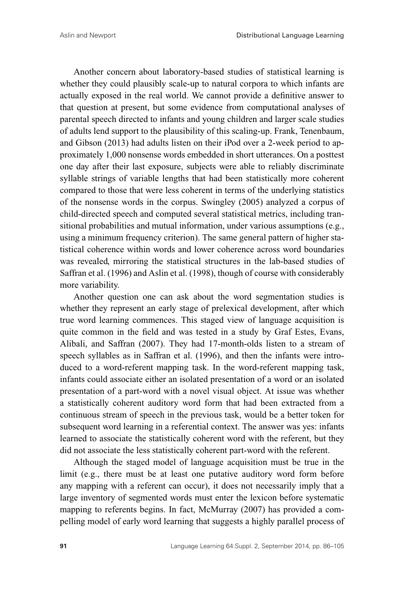Another concern about laboratory-based studies of statistical learning is whether they could plausibly scale-up to natural corpora to which infants are actually exposed in the real world. We cannot provide a definitive answer to that question at present, but some evidence from computational analyses of parental speech directed to infants and young children and larger scale studies of adults lend support to the plausibility of this scaling-up. Frank, Tenenbaum, and Gibson (2013) had adults listen on their iPod over a 2-week period to approximately 1,000 nonsense words embedded in short utterances. On a posttest one day after their last exposure, subjects were able to reliably discriminate syllable strings of variable lengths that had been statistically more coherent compared to those that were less coherent in terms of the underlying statistics of the nonsense words in the corpus. Swingley (2005) analyzed a corpus of child-directed speech and computed several statistical metrics, including transitional probabilities and mutual information, under various assumptions (e.g., using a minimum frequency criterion). The same general pattern of higher statistical coherence within words and lower coherence across word boundaries was revealed, mirroring the statistical structures in the lab-based studies of Saffran et al. (1996) and Aslin et al. (1998), though of course with considerably more variability.

Another question one can ask about the word segmentation studies is whether they represent an early stage of prelexical development, after which true word learning commences. This staged view of language acquisition is quite common in the field and was tested in a study by Graf Estes, Evans, Alibali, and Saffran (2007). They had 17-month-olds listen to a stream of speech syllables as in Saffran et al. (1996), and then the infants were introduced to a word-referent mapping task. In the word-referent mapping task, infants could associate either an isolated presentation of a word or an isolated presentation of a part-word with a novel visual object. At issue was whether a statistically coherent auditory word form that had been extracted from a continuous stream of speech in the previous task, would be a better token for subsequent word learning in a referential context. The answer was yes: infants learned to associate the statistically coherent word with the referent, but they did not associate the less statistically coherent part-word with the referent.

Although the staged model of language acquisition must be true in the limit (e.g., there must be at least one putative auditory word form before any mapping with a referent can occur), it does not necessarily imply that a large inventory of segmented words must enter the lexicon before systematic mapping to referents begins. In fact, McMurray (2007) has provided a compelling model of early word learning that suggests a highly parallel process of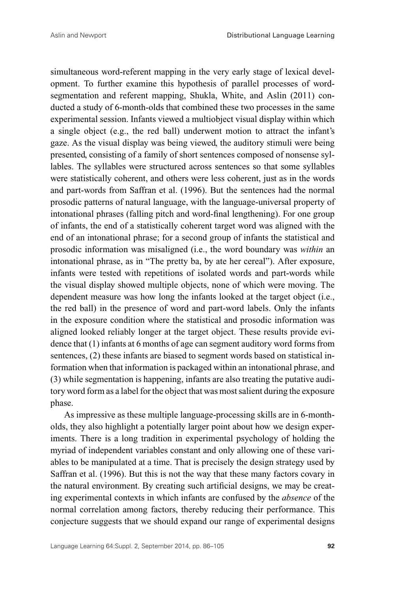simultaneous word-referent mapping in the very early stage of lexical development. To further examine this hypothesis of parallel processes of wordsegmentation and referent mapping, Shukla, White, and Aslin (2011) conducted a study of 6-month-olds that combined these two processes in the same experimental session. Infants viewed a multiobject visual display within which a single object (e.g., the red ball) underwent motion to attract the infant's gaze. As the visual display was being viewed, the auditory stimuli were being presented, consisting of a family of short sentences composed of nonsense syllables. The syllables were structured across sentences so that some syllables were statistically coherent, and others were less coherent, just as in the words and part-words from Saffran et al. (1996). But the sentences had the normal prosodic patterns of natural language, with the language-universal property of intonational phrases (falling pitch and word-final lengthening). For one group of infants, the end of a statistically coherent target word was aligned with the end of an intonational phrase; for a second group of infants the statistical and prosodic information was misaligned (i.e., the word boundary was *within* an intonational phrase, as in "The pretty ba, by ate her cereal"). After exposure, infants were tested with repetitions of isolated words and part-words while the visual display showed multiple objects, none of which were moving. The dependent measure was how long the infants looked at the target object (i.e., the red ball) in the presence of word and part-word labels. Only the infants in the exposure condition where the statistical and prosodic information was aligned looked reliably longer at the target object. These results provide evidence that (1) infants at 6 months of age can segment auditory word forms from sentences, (2) these infants are biased to segment words based on statistical information when that information is packaged within an intonational phrase, and (3) while segmentation is happening, infants are also treating the putative auditory word form as a label for the object that was most salient during the exposure phase.

As impressive as these multiple language-processing skills are in 6-montholds, they also highlight a potentially larger point about how we design experiments. There is a long tradition in experimental psychology of holding the myriad of independent variables constant and only allowing one of these variables to be manipulated at a time. That is precisely the design strategy used by Saffran et al. (1996). But this is not the way that these many factors covary in the natural environment. By creating such artificial designs, we may be creating experimental contexts in which infants are confused by the *absence* of the normal correlation among factors, thereby reducing their performance. This conjecture suggests that we should expand our range of experimental designs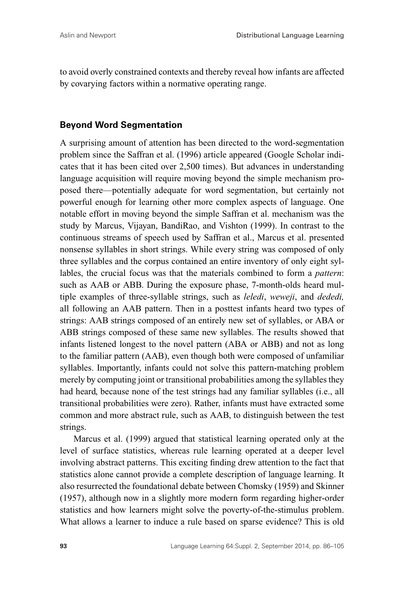to avoid overly constrained contexts and thereby reveal how infants are affected by covarying factors within a normative operating range.

# **Beyond Word Segmentation**

A surprising amount of attention has been directed to the word-segmentation problem since the Saffran et al. (1996) article appeared (Google Scholar indicates that it has been cited over 2,500 times). But advances in understanding language acquisition will require moving beyond the simple mechanism proposed there—potentially adequate for word segmentation, but certainly not powerful enough for learning other more complex aspects of language. One notable effort in moving beyond the simple Saffran et al. mechanism was the study by Marcus, Vijayan, BandiRao, and Vishton (1999). In contrast to the continuous streams of speech used by Saffran et al., Marcus et al. presented nonsense syllables in short strings. While every string was composed of only three syllables and the corpus contained an entire inventory of only eight syllables, the crucial focus was that the materials combined to form a *pattern*: such as AAB or ABB. During the exposure phase, 7-month-olds heard multiple examples of three-syllable strings, such as *leledi*, *weweji*, and *dededi,* all following an AAB pattern. Then in a posttest infants heard two types of strings: AAB strings composed of an entirely new set of syllables, or ABA or ABB strings composed of these same new syllables. The results showed that infants listened longest to the novel pattern (ABA or ABB) and not as long to the familiar pattern (AAB), even though both were composed of unfamiliar syllables. Importantly, infants could not solve this pattern-matching problem merely by computing joint or transitional probabilities among the syllables they had heard, because none of the test strings had any familiar syllables (i.e., all transitional probabilities were zero). Rather, infants must have extracted some common and more abstract rule, such as AAB, to distinguish between the test strings.

Marcus et al. (1999) argued that statistical learning operated only at the level of surface statistics, whereas rule learning operated at a deeper level involving abstract patterns. This exciting finding drew attention to the fact that statistics alone cannot provide a complete description of language learning. It also resurrected the foundational debate between Chomsky (1959) and Skinner (1957), although now in a slightly more modern form regarding higher-order statistics and how learners might solve the poverty-of-the-stimulus problem. What allows a learner to induce a rule based on sparse evidence? This is old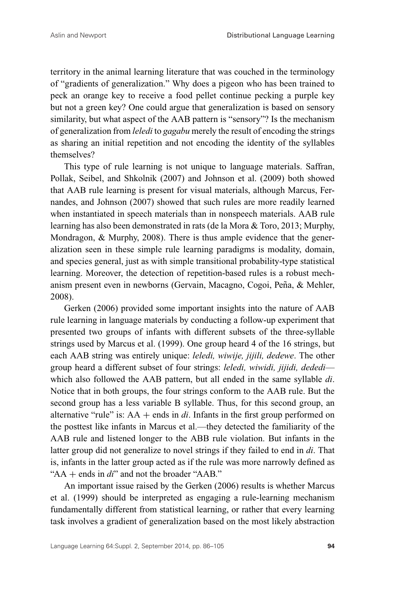territory in the animal learning literature that was couched in the terminology of "gradients of generalization." Why does a pigeon who has been trained to peck an orange key to receive a food pellet continue pecking a purple key but not a green key? One could argue that generalization is based on sensory similarity, but what aspect of the AAB pattern is "sensory"? Is the mechanism of generalization from *leledi* to *gagabu* merely the result of encoding the strings as sharing an initial repetition and not encoding the identity of the syllables themselves?

This type of rule learning is not unique to language materials. Saffran, Pollak, Seibel, and Shkolnik (2007) and Johnson et al. (2009) both showed that AAB rule learning is present for visual materials, although Marcus, Fernandes, and Johnson (2007) showed that such rules are more readily learned when instantiated in speech materials than in nonspeech materials. AAB rule learning has also been demonstrated in rats (de la Mora & Toro, 2013; Murphy, Mondragon, & Murphy, 2008). There is thus ample evidence that the generalization seen in these simple rule learning paradigms is modality, domain, and species general, just as with simple transitional probability-type statistical learning. Moreover, the detection of repetition-based rules is a robust mechanism present even in newborns (Gervain, Macagno, Cogoi, Peña, & Mehler, 2008).

Gerken (2006) provided some important insights into the nature of AAB rule learning in language materials by conducting a follow-up experiment that presented two groups of infants with different subsets of the three-syllable strings used by Marcus et al. (1999). One group heard 4 of the 16 strings, but each AAB string was entirely unique: *leledi, wiwije, jijili, dedewe*. The other group heard a different subset of four strings: *leledi, wiwidi, jijidi, dededi* which also followed the AAB pattern, but all ended in the same syllable *di*. Notice that in both groups, the four strings conform to the AAB rule. But the second group has a less variable B syllable. Thus, for this second group, an alternative "rule" is:  $AA + ends$  in *di*. Infants in the first group performed on the posttest like infants in Marcus et al.—they detected the familiarity of the AAB rule and listened longer to the ABB rule violation. But infants in the latter group did not generalize to novel strings if they failed to end in *di*. That is, infants in the latter group acted as if the rule was more narrowly defined as "AA + ends in *di*" and not the broader "AAB."

An important issue raised by the Gerken (2006) results is whether Marcus et al. (1999) should be interpreted as engaging a rule-learning mechanism fundamentally different from statistical learning, or rather that every learning task involves a gradient of generalization based on the most likely abstraction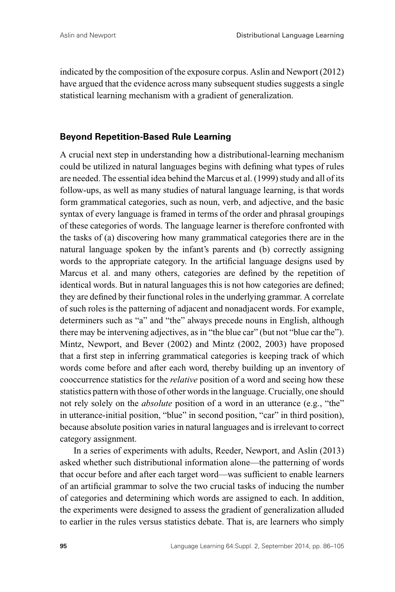indicated by the composition of the exposure corpus. Aslin and Newport (2012) have argued that the evidence across many subsequent studies suggests a single statistical learning mechanism with a gradient of generalization.

#### **Beyond Repetition-Based Rule Learning**

A crucial next step in understanding how a distributional-learning mechanism could be utilized in natural languages begins with defining what types of rules are needed. The essential idea behind the Marcus et al. (1999) study and all of its follow-ups, as well as many studies of natural language learning, is that words form grammatical categories, such as noun, verb, and adjective, and the basic syntax of every language is framed in terms of the order and phrasal groupings of these categories of words. The language learner is therefore confronted with the tasks of (a) discovering how many grammatical categories there are in the natural language spoken by the infant's parents and (b) correctly assigning words to the appropriate category. In the artificial language designs used by Marcus et al. and many others, categories are defined by the repetition of identical words. But in natural languages this is not how categories are defined; they are defined by their functional roles in the underlying grammar. A correlate of such roles is the patterning of adjacent and nonadjacent words. For example, determiners such as "a" and "the" always precede nouns in English, although there may be intervening adjectives, as in "the blue car" (but not "blue car the"). Mintz, Newport, and Bever (2002) and Mintz (2002, 2003) have proposed that a first step in inferring grammatical categories is keeping track of which words come before and after each word, thereby building up an inventory of cooccurrence statistics for the *relative* position of a word and seeing how these statistics pattern with those of other words in the language. Crucially, one should not rely solely on the *absolute* position of a word in an utterance (e.g., "the" in utterance-initial position, "blue" in second position, "car" in third position), because absolute position varies in natural languages and is irrelevant to correct category assignment.

In a series of experiments with adults, Reeder, Newport, and Aslin (2013) asked whether such distributional information alone—the patterning of words that occur before and after each target word—was sufficient to enable learners of an artificial grammar to solve the two crucial tasks of inducing the number of categories and determining which words are assigned to each. In addition, the experiments were designed to assess the gradient of generalization alluded to earlier in the rules versus statistics debate. That is, are learners who simply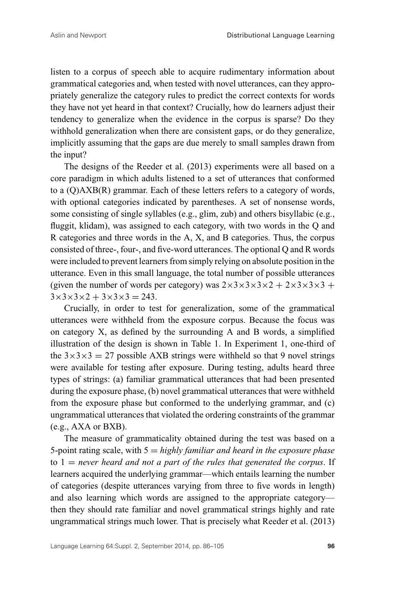listen to a corpus of speech able to acquire rudimentary information about grammatical categories and, when tested with novel utterances, can they appropriately generalize the category rules to predict the correct contexts for words they have not yet heard in that context? Crucially, how do learners adjust their tendency to generalize when the evidence in the corpus is sparse? Do they withhold generalization when there are consistent gaps, or do they generalize, implicitly assuming that the gaps are due merely to small samples drawn from the input?

The designs of the Reeder et al. (2013) experiments were all based on a core paradigm in which adults listened to a set of utterances that conformed to a (Q)AXB(R) grammar. Each of these letters refers to a category of words, with optional categories indicated by parentheses. A set of nonsense words, some consisting of single syllables (e.g., glim, zub) and others bisyllabic (e.g., fluggit, klidam), was assigned to each category, with two words in the Q and R categories and three words in the A, X, and B categories. Thus, the corpus consisted of three-, four-, and five-word utterances. The optional Q and R words were included to prevent learners from simply relying on absolute position in the utterance. Even in this small language, the total number of possible utterances (given the number of words per category) was  $2 \times 3 \times 3 \times 3 \times 2 + 2 \times 3 \times 3 \times 3 + 1$  $3\times3\times3\times2+3\times3\times3=243$ .

Crucially, in order to test for generalization, some of the grammatical utterances were withheld from the exposure corpus. Because the focus was on category X, as defined by the surrounding A and B words, a simplified illustration of the design is shown in Table 1. In Experiment 1, one-third of the  $3 \times 3 \times 3 = 27$  possible AXB strings were withheld so that 9 novel strings were available for testing after exposure. During testing, adults heard three types of strings: (a) familiar grammatical utterances that had been presented during the exposure phase, (b) novel grammatical utterances that were withheld from the exposure phase but conformed to the underlying grammar, and (c) ungrammatical utterances that violated the ordering constraints of the grammar (e.g., AXA or BXB).

The measure of grammaticality obtained during the test was based on a 5-point rating scale, with 5 = *highly familiar and heard in the exposure phase* to 1 = *never heard and not a part of the rules that generated the corpus*. If learners acquired the underlying grammar—which entails learning the number of categories (despite utterances varying from three to five words in length) and also learning which words are assigned to the appropriate category then they should rate familiar and novel grammatical strings highly and rate ungrammatical strings much lower. That is precisely what Reeder et al. (2013)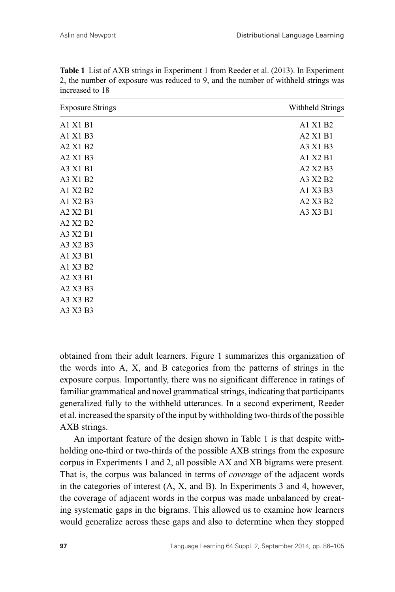| <b>Exposure Strings</b> | Withheld Strings |
|-------------------------|------------------|
| A1 X1 B1                | A1 X1 B2         |
| A1 X1 B3                | A2 X1 B1         |
| A2 X1 B2                | A3 X1 B3         |
| A2 X1 B3                | A1 X2 B1         |
| A3 X1 B1                | A2 X2 B3         |
| A3 X1 B2                | A3 X2 B2         |
| A1 X2 B2                | A1 X3 B3         |
| A1 X2 B3                | A2 X3 B2         |
| A2 X2 B1                | A3 X3 B1         |
| A2 X2 B2                |                  |
| A3 X2 B1                |                  |
| A3 X2 B3                |                  |
| A1 X3 B1                |                  |
| A1 X3 B2                |                  |
| A2 X3 B1                |                  |
| A2 X3 B3                |                  |
| A3 X3 B2                |                  |
| A3 X3 B3                |                  |

**Table 1** List of AXB strings in Experiment 1 from Reeder et al. (2013). In Experiment 2, the number of exposure was reduced to 9, and the number of withheld strings was increased to 18

obtained from their adult learners. Figure 1 summarizes this organization of the words into A, X, and B categories from the patterns of strings in the exposure corpus. Importantly, there was no significant difference in ratings of familiar grammatical and novel grammatical strings, indicating that participants generalized fully to the withheld utterances. In a second experiment, Reeder et al. increased the sparsity of the input by withholding two-thirds of the possible AXB strings.

An important feature of the design shown in Table 1 is that despite withholding one-third or two-thirds of the possible AXB strings from the exposure corpus in Experiments 1 and 2, all possible AX and XB bigrams were present. That is, the corpus was balanced in terms of *coverage* of the adjacent words in the categories of interest (A, X, and B). In Experiments 3 and 4, however, the coverage of adjacent words in the corpus was made unbalanced by creating systematic gaps in the bigrams. This allowed us to examine how learners would generalize across these gaps and also to determine when they stopped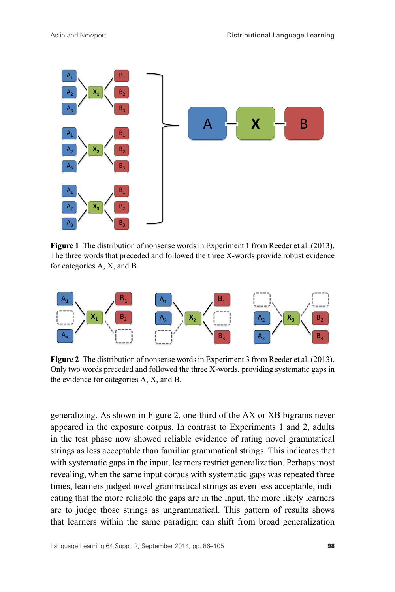

**Figure 1** The distribution of nonsense words in Experiment 1 from Reeder et al. (2013). The three words that preceded and followed the three X-words provide robust evidence for categories A, X, and B.



**Figure 2** The distribution of nonsense words in Experiment 3 from Reeder et al. (2013). Only two words preceded and followed the three X-words, providing systematic gaps in the evidence for categories A, X, and B.

generalizing. As shown in Figure 2, one-third of the AX or XB bigrams never appeared in the exposure corpus. In contrast to Experiments 1 and 2, adults in the test phase now showed reliable evidence of rating novel grammatical strings as less acceptable than familiar grammatical strings. This indicates that with systematic gaps in the input, learners restrict generalization. Perhaps most revealing, when the same input corpus with systematic gaps was repeated three times, learners judged novel grammatical strings as even less acceptable, indicating that the more reliable the gaps are in the input, the more likely learners are to judge those strings as ungrammatical. This pattern of results shows that learners within the same paradigm can shift from broad generalization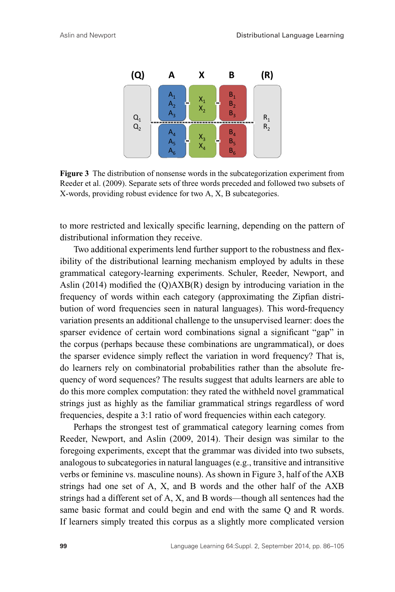

**Figure 3** The distribution of nonsense words in the subcategorization experiment from Reeder et al. (2009). Separate sets of three words preceded and followed two subsets of X-words, providing robust evidence for two A, X, B subcategories.

to more restricted and lexically specific learning, depending on the pattern of distributional information they receive.

Two additional experiments lend further support to the robustness and flexibility of the distributional learning mechanism employed by adults in these grammatical category-learning experiments. Schuler, Reeder, Newport, and Aslin (2014) modified the (Q)AXB(R) design by introducing variation in the frequency of words within each category (approximating the Zipfian distribution of word frequencies seen in natural languages). This word-frequency variation presents an additional challenge to the unsupervised learner: does the sparser evidence of certain word combinations signal a significant "gap" in the corpus (perhaps because these combinations are ungrammatical), or does the sparser evidence simply reflect the variation in word frequency? That is, do learners rely on combinatorial probabilities rather than the absolute frequency of word sequences? The results suggest that adults learners are able to do this more complex computation: they rated the withheld novel grammatical strings just as highly as the familiar grammatical strings regardless of word frequencies, despite a 3:1 ratio of word frequencies within each category.

Perhaps the strongest test of grammatical category learning comes from Reeder, Newport, and Aslin (2009, 2014). Their design was similar to the foregoing experiments, except that the grammar was divided into two subsets, analogous to subcategories in natural languages (e.g., transitive and intransitive verbs or feminine vs. masculine nouns). As shown in Figure 3, half of the AXB strings had one set of A, X, and B words and the other half of the AXB strings had a different set of A, X, and B words—though all sentences had the same basic format and could begin and end with the same Q and R words. If learners simply treated this corpus as a slightly more complicated version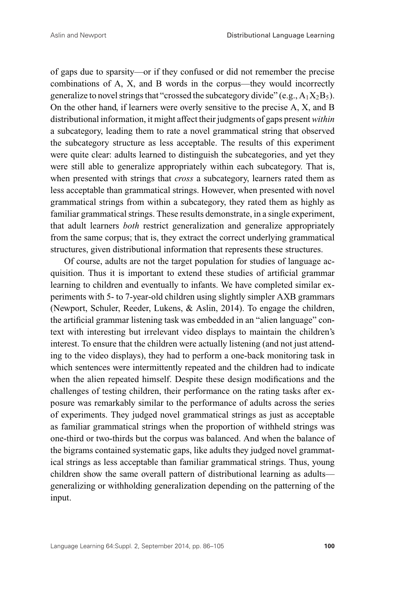of gaps due to sparsity—or if they confused or did not remember the precise combinations of A, X, and B words in the corpus—they would incorrectly generalize to novel strings that "crossed the subcategory divide" (e.g.,  $A_1X_2B_5$ ). On the other hand, if learners were overly sensitive to the precise A, X, and B distributional information, it might affect their judgments of gaps present *within* a subcategory, leading them to rate a novel grammatical string that observed the subcategory structure as less acceptable. The results of this experiment were quite clear: adults learned to distinguish the subcategories, and yet they were still able to generalize appropriately within each subcategory. That is, when presented with strings that *cross* a subcategory, learners rated them as less acceptable than grammatical strings. However, when presented with novel grammatical strings from within a subcategory, they rated them as highly as familiar grammatical strings. These results demonstrate, in a single experiment, that adult learners *both* restrict generalization and generalize appropriately from the same corpus; that is, they extract the correct underlying grammatical structures, given distributional information that represents these structures.

Of course, adults are not the target population for studies of language acquisition. Thus it is important to extend these studies of artificial grammar learning to children and eventually to infants. We have completed similar experiments with 5- to 7-year-old children using slightly simpler AXB grammars (Newport, Schuler, Reeder, Lukens, & Aslin, 2014). To engage the children, the artificial grammar listening task was embedded in an "alien language" context with interesting but irrelevant video displays to maintain the children's interest. To ensure that the children were actually listening (and not just attending to the video displays), they had to perform a one-back monitoring task in which sentences were intermittently repeated and the children had to indicate when the alien repeated himself. Despite these design modifications and the challenges of testing children, their performance on the rating tasks after exposure was remarkably similar to the performance of adults across the series of experiments. They judged novel grammatical strings as just as acceptable as familiar grammatical strings when the proportion of withheld strings was one-third or two-thirds but the corpus was balanced. And when the balance of the bigrams contained systematic gaps, like adults they judged novel grammatical strings as less acceptable than familiar grammatical strings. Thus, young children show the same overall pattern of distributional learning as adults generalizing or withholding generalization depending on the patterning of the input.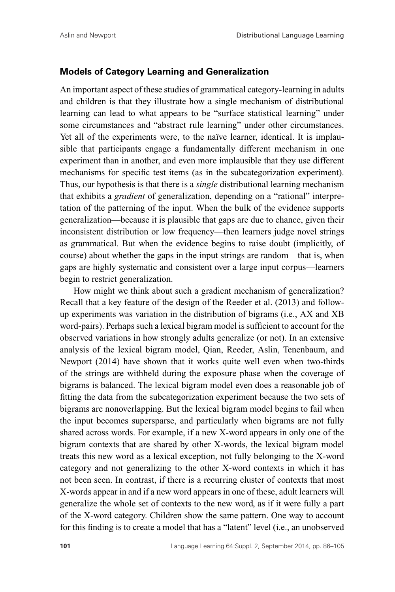#### **Models of Category Learning and Generalization**

An important aspect of these studies of grammatical category-learning in adults and children is that they illustrate how a single mechanism of distributional learning can lead to what appears to be "surface statistical learning" under some circumstances and "abstract rule learning" under other circumstances. Yet all of the experiments were, to the naïve learner, identical. It is implausible that participants engage a fundamentally different mechanism in one experiment than in another, and even more implausible that they use different mechanisms for specific test items (as in the subcategorization experiment). Thus, our hypothesis is that there is a *single* distributional learning mechanism that exhibits a *gradient* of generalization, depending on a "rational" interpretation of the patterning of the input. When the bulk of the evidence supports generalization—because it is plausible that gaps are due to chance, given their inconsistent distribution or low frequency—then learners judge novel strings as grammatical. But when the evidence begins to raise doubt (implicitly, of course) about whether the gaps in the input strings are random—that is, when gaps are highly systematic and consistent over a large input corpus—learners begin to restrict generalization.

How might we think about such a gradient mechanism of generalization? Recall that a key feature of the design of the Reeder et al. (2013) and followup experiments was variation in the distribution of bigrams (i.e., AX and XB word-pairs). Perhaps such a lexical bigram model is sufficient to account for the observed variations in how strongly adults generalize (or not). In an extensive analysis of the lexical bigram model, Qian, Reeder, Aslin, Tenenbaum, and Newport (2014) have shown that it works quite well even when two-thirds of the strings are withheld during the exposure phase when the coverage of bigrams is balanced. The lexical bigram model even does a reasonable job of fitting the data from the subcategorization experiment because the two sets of bigrams are nonoverlapping. But the lexical bigram model begins to fail when the input becomes supersparse, and particularly when bigrams are not fully shared across words. For example, if a new X-word appears in only one of the bigram contexts that are shared by other X-words, the lexical bigram model treats this new word as a lexical exception, not fully belonging to the X-word category and not generalizing to the other X-word contexts in which it has not been seen. In contrast, if there is a recurring cluster of contexts that most X-words appear in and if a new word appears in one of these, adult learners will generalize the whole set of contexts to the new word, as if it were fully a part of the X-word category. Children show the same pattern. One way to account for this finding is to create a model that has a "latent" level (i.e., an unobserved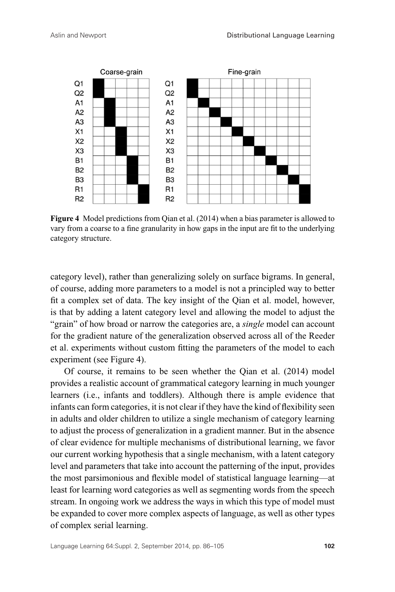

**Figure 4** Model predictions from Qian et al. (2014) when a bias parameter is allowed to vary from a coarse to a fine granularity in how gaps in the input are fit to the underlying category structure.

category level), rather than generalizing solely on surface bigrams. In general, of course, adding more parameters to a model is not a principled way to better fit a complex set of data. The key insight of the Qian et al. model, however, is that by adding a latent category level and allowing the model to adjust the "grain" of how broad or narrow the categories are, a *single* model can account for the gradient nature of the generalization observed across all of the Reeder et al. experiments without custom fitting the parameters of the model to each experiment (see Figure 4).

Of course, it remains to be seen whether the Qian et al. (2014) model provides a realistic account of grammatical category learning in much younger learners (i.e., infants and toddlers). Although there is ample evidence that infants can form categories, it is not clear if they have the kind of flexibility seen in adults and older children to utilize a single mechanism of category learning to adjust the process of generalization in a gradient manner. But in the absence of clear evidence for multiple mechanisms of distributional learning, we favor our current working hypothesis that a single mechanism, with a latent category level and parameters that take into account the patterning of the input, provides the most parsimonious and flexible model of statistical language learning—at least for learning word categories as well as segmenting words from the speech stream. In ongoing work we address the ways in which this type of model must be expanded to cover more complex aspects of language, as well as other types of complex serial learning.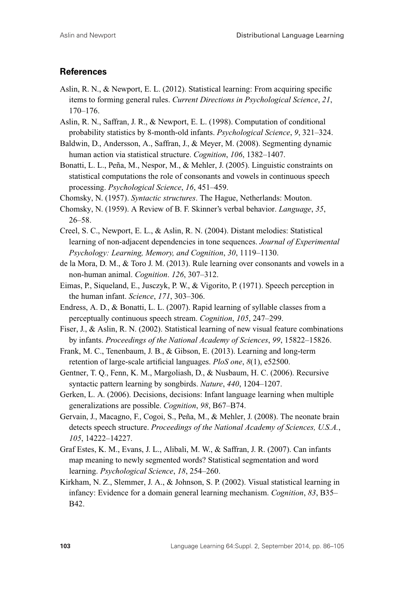#### **References**

- Aslin, R. N., & Newport, E. L. (2012). Statistical learning: From acquiring specific items to forming general rules. *Current Directions in Psychological Science*, *21*, 170–176.
- Aslin, R. N., Saffran, J. R., & Newport, E. L. (1998). Computation of conditional probability statistics by 8-month-old infants. *Psychological Science*, *9*, 321–324.
- Baldwin, D., Andersson, A., Saffran, J., & Meyer, M. (2008). Segmenting dynamic human action via statistical structure. *Cognition*, *106*, 1382–1407.
- Bonatti, L. L., Peña, M., Nespor, M., & Mehler, J. (2005). Linguistic constraints on statistical computations the role of consonants and vowels in continuous speech processing. *Psychological Science*, *16*, 451–459.
- Chomsky, N. (1957). *Syntactic structures*. The Hague, Netherlands: Mouton.
- Chomsky, N. (1959). A Review of B. F. Skinner's verbal behavior. *Language*, *35*, 26–58.
- Creel, S. C., Newport, E. L., & Aslin, R. N. (2004). Distant melodies: Statistical learning of non-adjacent dependencies in tone sequences. *Journal of Experimental Psychology: Learning, Memory, and Cognition*, *30*, 1119–1130.
- de la Mora, D. M., & Toro J. M. (2013). Rule learning over consonants and vowels in a non-human animal. *Cognition*. *126*, 307–312.
- Eimas, P., Siqueland, E., Jusczyk, P. W., & Vigorito, P. (1971). Speech perception in the human infant. *Science*, *171*, 303–306.
- Endress, A. D., & Bonatti, L. L. (2007). Rapid learning of syllable classes from a perceptually continuous speech stream. *Cognition*, *105*, 247–299.
- Fiser, J., & Aslin, R. N. (2002). Statistical learning of new visual feature combinations by infants. *Proceedings of the National Academy of Sciences*, *99*, 15822–15826.
- Frank, M. C., Tenenbaum, J. B., & Gibson, E. (2013). Learning and long-term retention of large-scale artificial languages. *PloS one*, *8*(1), e52500.
- Gentner, T. Q., Fenn, K. M., Margoliash, D., & Nusbaum, H. C. (2006). Recursive syntactic pattern learning by songbirds. *Nature*, *440*, 1204–1207.
- Gerken, L. A. (2006). Decisions, decisions: Infant language learning when multiple generalizations are possible. *Cognition*, *98*, B67–B74.
- Gervain, J., Macagno, F., Cogoi, S., Peña, M., & Mehler, J. (2008). The neonate brain detects speech structure. *Proceedings of the National Academy of Sciences, U.S.A.*, *105*, 14222–14227.
- Graf Estes, K. M., Evans, J. L., Alibali, M. W., & Saffran, J. R. (2007). Can infants map meaning to newly segmented words? Statistical segmentation and word learning. *Psychological Science*, *18*, 254–260.
- Kirkham, N. Z., Slemmer, J. A., & Johnson, S. P. (2002). Visual statistical learning in infancy: Evidence for a domain general learning mechanism. *Cognition*, *83*, B35– B42.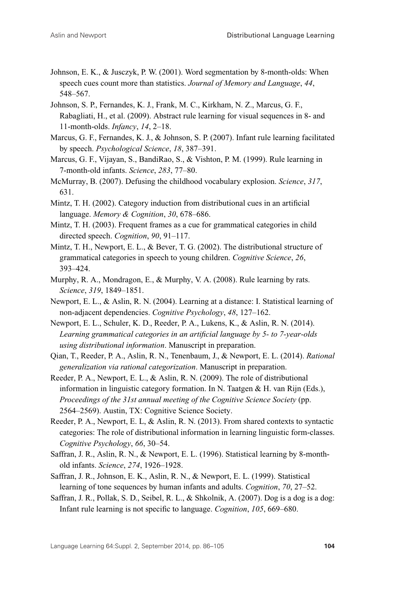- Johnson, E. K., & Jusczyk, P. W. (2001). Word segmentation by 8-month-olds: When speech cues count more than statistics. *Journal of Memory and Language*, *44*, 548–567.
- Johnson, S. P., Fernandes, K. J., Frank, M. C., Kirkham, N. Z., Marcus, G. F., Rabagliati, H., et al. (2009). Abstract rule learning for visual sequences in 8- and 11-month-olds. *Infancy*, *14*, 2–18.
- Marcus, G. F., Fernandes, K. J., & Johnson, S. P. (2007). Infant rule learning facilitated by speech. *Psychological Science*, *18*, 387–391.
- Marcus, G. F., Vijayan, S., BandiRao, S., & Vishton, P. M. (1999). Rule learning in 7-month-old infants. *Science*, *283*, 77–80.
- McMurray, B. (2007). Defusing the childhood vocabulary explosion. *Science*, *317*, 631.
- Mintz, T. H. (2002). Category induction from distributional cues in an artificial language. *Memory & Cognition*, *30*, 678–686.
- Mintz, T. H. (2003). Frequent frames as a cue for grammatical categories in child directed speech. *Cognition*, *90*, 91–117.
- Mintz, T. H., Newport, E. L., & Bever, T. G. (2002). The distributional structure of grammatical categories in speech to young children. *Cognitive Science*, *26*, 393–424.
- Murphy, R. A., Mondragon, E., & Murphy, V. A. (2008). Rule learning by rats. *Science*, *319*, 1849–1851.
- Newport, E. L., & Aslin, R. N. (2004). Learning at a distance: I. Statistical learning of non-adjacent dependencies. *Cognitive Psychology*, *48*, 127–162.
- Newport, E. L., Schuler, K. D., Reeder, P. A., Lukens, K., & Aslin, R. N. (2014). *Learning grammatical categories in an artificial language by 5- to 7-year-olds using distributional information*. Manuscript in preparation.
- Qian, T., Reeder, P. A., Aslin, R. N., Tenenbaum, J., & Newport, E. L. (2014). *Rational generalization via rational categorization*. Manuscript in preparation.
- Reeder, P. A., Newport, E. L., & Aslin, R. N. (2009). The role of distributional information in linguistic category formation. In N. Taatgen & H. van Rijn (Eds.), *Proceedings of the 31st annual meeting of the Cognitive Science Society* (pp. 2564–2569). Austin, TX: Cognitive Science Society.
- Reeder, P. A., Newport, E. L, & Aslin, R. N. (2013). From shared contexts to syntactic categories: The role of distributional information in learning linguistic form-classes. *Cognitive Psychology*, *66*, 30–54.
- Saffran, J. R., Aslin, R. N., & Newport, E. L. (1996). Statistical learning by 8-monthold infants. *Science*, *274*, 1926–1928.
- Saffran, J. R., Johnson, E. K., Aslin, R. N., & Newport, E. L. (1999). Statistical learning of tone sequences by human infants and adults. *Cognition*, *70*, 27–52.
- Saffran, J. R., Pollak, S. D., Seibel, R. L., & Shkolnik, A. (2007). Dog is a dog is a dog: Infant rule learning is not specific to language. *Cognition*, *105*, 669–680.